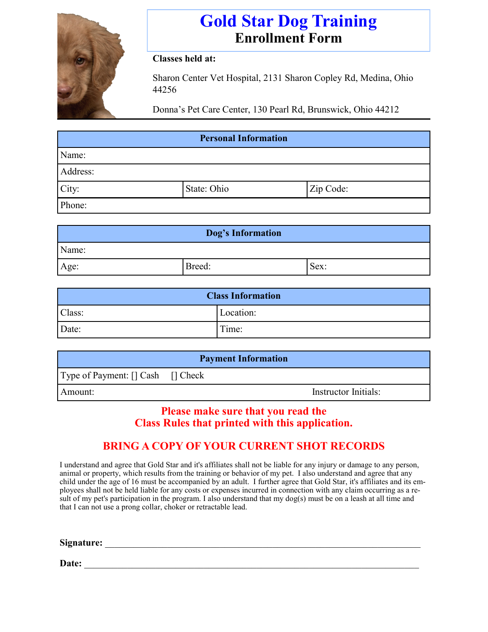

# **Gold Star Dog Training Enrollment Form**

#### **Classes held at:**

Sharon Center Vet Hospital, 2131 Sharon Copley Rd, Medina, Ohio 44256

Donna's Pet Care Center, 130 Pearl Rd, Brunswick, Ohio 44212

| <b>Personal Information</b> |             |           |  |  |
|-----------------------------|-------------|-----------|--|--|
| Name:                       |             |           |  |  |
| Address:                    |             |           |  |  |
| City:                       | State: Ohio | Zip Code: |  |  |
| Phone:                      |             |           |  |  |

| Dog's Information |        |      |  |  |
|-------------------|--------|------|--|--|
| Name:             |        |      |  |  |
| Age:              | Breed: | Sex: |  |  |

| <b>Class Information</b> |           |  |  |
|--------------------------|-----------|--|--|
| Class:                   | Location: |  |  |
| Date:                    | Time:     |  |  |

| <b>Payment Information</b>        |  |                      |  |  |
|-----------------------------------|--|----------------------|--|--|
| Type of Payment: [] Cash [] Check |  |                      |  |  |
| Amount:                           |  | Instructor Initials: |  |  |

#### **Please make sure that you read the Class Rules that printed with this application.**

### **BRING A COPY OF YOUR CURRENT SHOT RECORDS**

I understand and agree that Gold Star and it's affiliates shall not be liable for any injury or damage to any person, animal or property, which results from the training or behavior of my pet. I also understand and agree that any child under the age of 16 must be accompanied by an adult. I further agree that Gold Star, it's affiliates and its employees shall not be held liable for any costs or expenses incurred in connection with any claim occurring as a result of my pet's participation in the program. I also understand that my dog(s) must be on a leash at all time and that I can not use a prong collar, choker or retractable lead.

**Signature:** \_\_\_\_\_\_\_\_\_\_\_\_\_\_\_\_\_\_\_\_\_\_\_\_\_\_\_\_\_\_\_\_\_\_\_\_\_\_\_\_\_\_\_\_\_\_\_\_\_\_\_\_\_\_\_\_\_\_\_\_\_\_\_\_\_\_

**Date:** \_\_\_\_\_\_\_\_\_\_\_\_\_\_\_\_\_\_\_\_\_\_\_\_\_\_\_\_\_\_\_\_\_\_\_\_\_\_\_\_\_\_\_\_\_\_\_\_\_\_\_\_\_\_\_\_\_\_\_\_\_\_\_\_\_\_\_\_\_\_